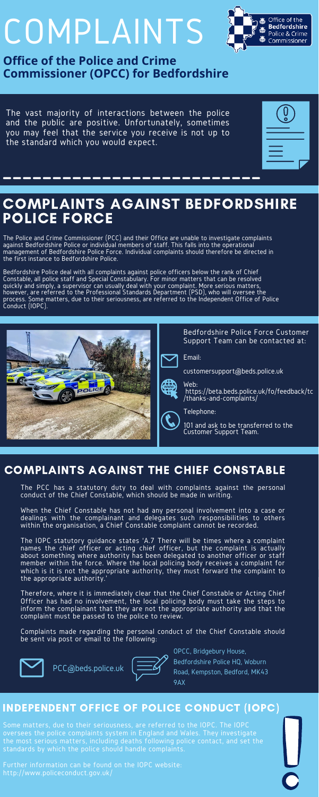# COMPLAINTS

**Office of the Police and Crime Commissioner (OPCC) for Bedfordshire**

The Police and Crime Commissioner (PCC) and their Office are unable to investigate complaints against Bedfordshire Police or individual members of staff. This falls into the operational management of Bedfordshire Police Force. Individual complaints should therefore be directed in the first instance to Bedfordshire Police.

Bedfordshire Police deal with all complaints against police officers below the rank of Chief Constable, all police staff and Special Constabulary. For minor matters that can be resolved quickly and simply, a supervisor can usually deal with your complaint. More serious matters, however, are referred to the Professional Standards Department (PSD), who will oversee the process. Some matters, due to their seriousness, are referred to the Independent Office of Police Conduct (IOPC).

## COMPLAINTS AGAINST BEDFORDSHIRE POLICE FORCE

The PCC has a statutory duty to deal with complaints against the personal conduct of the Chief Constable, which should be made in writing.

Some matters, due to their seriousness, are referred to the IOPC. The IOPC oversees the police complaints system in England and Wales. They investigate the most serious matters, including deaths following police contact, and set the standards by which the police should handle complaints.

When the Chief Constable has not had any personal involvement into a case or dealings with the complainant and delegates such responsibilities to others within the organisation, a Chief Constable complaint cannot be recorded.

The IOPC statutory guidance states 'A.7 There will be times where a complaint names the chief officer or acting chief officer, but the complaint is actually about something where authority has been delegated to another officer or staff member within the force. Where the local policing body receives a complaint for which is it is not the appropriate authority, they must forward the complaint to the appropriate authority.'

Therefore, where it is immediately clear that the Chief Constable or Acting Chief Officer has had no involvement, the local policing body must take the steps to inform the complainant that they are not the appropriate authority and that the complaint must be passed to the police to review.

Complaints made regarding the personal conduct of the Chief Constable should be sent via post or email to the following:



## COMPLAINTS AGAINST THE CHIEF CONSTABLE





Further information can be found on the IOPC website: [http://www.policeconduct.gov.uk/](https://www.policeconduct.gov.uk/)

#### INDEPENDENT OFFICE OF POLICE CONDUCT (IOPC)

The vast majority of interactions between the police and the public are positive. Unfortunately, sometimes you may feel that the service you receive is not up to the standard which you would expect.





Email:

customersupport@beds.police.uk



Web: https://beta.beds.police.uk/fo/feedback/tc /thanks-and-complaints/

Telephone:

101 and ask to be transferred to the Customer Support Team.

OPCC, Bridgebury House, Bedfordshire Police HQ, Woburn Road, Kempston, Bedford, MK43 9AX